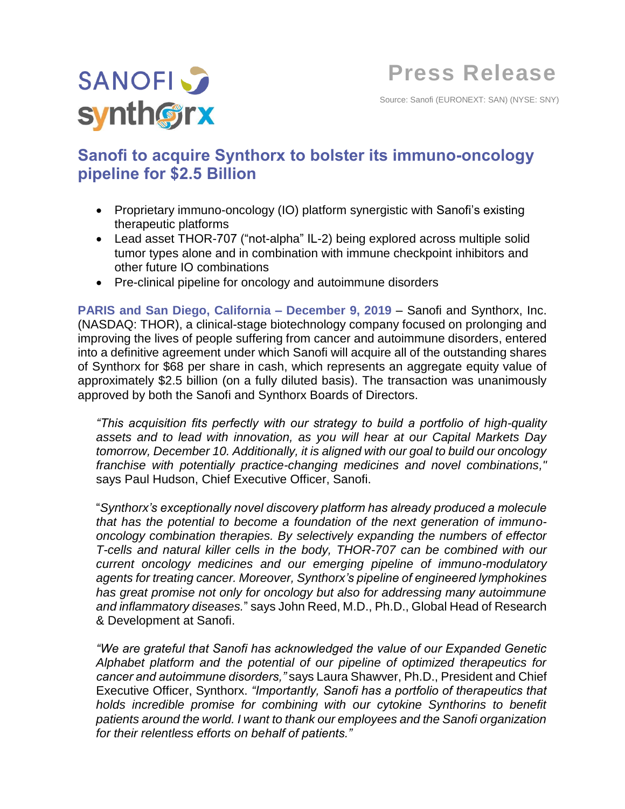

Source: Sanofi (EURONEXT: SAN) (NYSE: SNY)

# **Sanofi to acquire Synthorx to bolster its immuno-oncology pipeline for \$2.5 Billion**

- Proprietary immuno-oncology (IO) platform synergistic with Sanofi's existing therapeutic platforms
- Lead asset THOR-707 ("not-alpha" IL-2) being explored across multiple solid tumor types alone and in combination with immune checkpoint inhibitors and other future IO combinations
- Pre-clinical pipeline for oncology and autoimmune disorders

**PARIS and San Diego, California – December 9, 2019** – Sanofi and Synthorx, Inc. (NASDAQ: THOR), a clinical-stage biotechnology company focused on prolonging and improving the lives of people suffering from cancer and autoimmune disorders, entered into a definitive agreement under which Sanofi will acquire all of the outstanding shares of Synthorx for \$68 per share in cash, which represents an aggregate equity value of approximately \$2.5 billion (on a fully diluted basis). The transaction was unanimously approved by both the Sanofi and Synthorx Boards of Directors.

*"This acquisition fits perfectly with our strategy to build a portfolio of high-quality assets and to lead with innovation, as you will hear at our Capital Markets Day tomorrow, December 10. Additionally, it is aligned with our goal to build our oncology franchise with potentially practice-changing medicines and novel combinations,"* says Paul Hudson, Chief Executive Officer, Sanofi.

"*Synthorx's exceptionally novel discovery platform has already produced a molecule that has the potential to become a foundation of the next generation of immunooncology combination therapies. By selectively expanding the numbers of effector T-cells and natural killer cells in the body, THOR-707 can be combined with our current oncology medicines and our emerging pipeline of immuno-modulatory agents for treating cancer. Moreover, Synthorx's pipeline of engineered lymphokines has great promise not only for oncology but also for addressing many autoimmune and inflammatory diseases.*" says John Reed, M.D., Ph.D., Global Head of Research & Development at Sanofi.

*"We are grateful that Sanofi has acknowledged the value of our Expanded Genetic Alphabet platform and the potential of our pipeline of optimized therapeutics for cancer and autoimmune disorders,"* says Laura Shawver, Ph.D., President and Chief Executive Officer, Synthorx. *"Importantly, Sanofi has a portfolio of therapeutics that holds incredible promise for combining with our cytokine Synthorins to benefit patients around the world. I want to thank our employees and the Sanofi organization for their relentless efforts on behalf of patients."*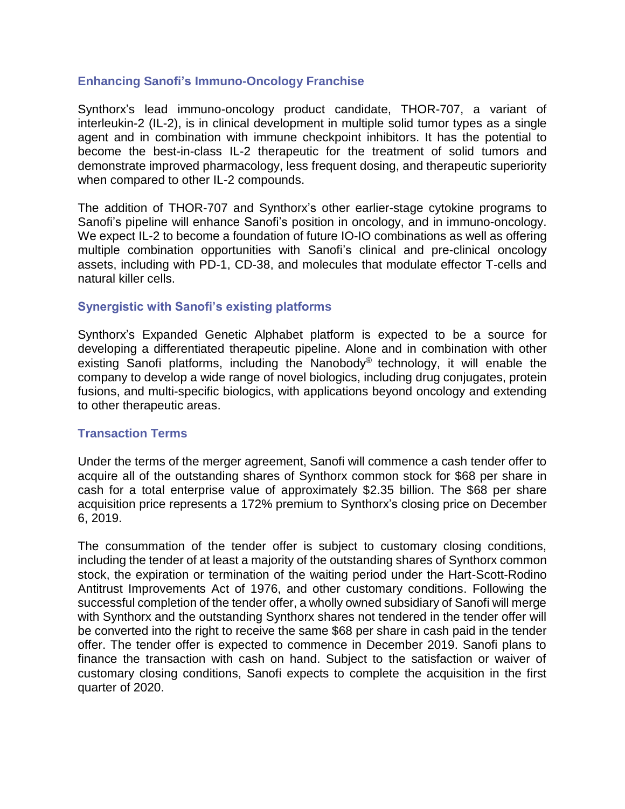# **Enhancing Sanofi's Immuno-Oncology Franchise**

Synthorx's lead immuno-oncology product candidate, THOR-707, a variant of interleukin-2 (IL-2), is in clinical development in multiple solid tumor types as a single agent and in combination with immune checkpoint inhibitors. It has the potential to become the best-in-class IL-2 therapeutic for the treatment of solid tumors and demonstrate improved pharmacology, less frequent dosing, and therapeutic superiority when compared to other IL-2 compounds.

The addition of THOR-707 and Synthorx's other earlier-stage cytokine programs to Sanofi's pipeline will enhance Sanofi's position in oncology, and in immuno-oncology. We expect IL-2 to become a foundation of future IO-IO combinations as well as offering multiple combination opportunities with Sanofi's clinical and pre-clinical oncology assets, including with PD-1, CD-38, and molecules that modulate effector T-cells and natural killer cells.

## **Synergistic with Sanofi's existing platforms**

Synthorx's Expanded Genetic Alphabet platform is expected to be a source for developing a differentiated therapeutic pipeline. Alone and in combination with other existing Sanofi platforms, including the Nanobody<sup>®</sup> technology, it will enable the company to develop a wide range of novel biologics, including drug conjugates, protein fusions, and multi-specific biologics, with applications beyond oncology and extending to other therapeutic areas.

## **Transaction Terms**

Under the terms of the merger agreement, Sanofi will commence a cash tender offer to acquire all of the outstanding shares of Synthorx common stock for \$68 per share in cash for a total enterprise value of approximately \$2.35 billion. The \$68 per share acquisition price represents a 172% premium to Synthorx's closing price on December 6, 2019.

The consummation of the tender offer is subject to customary closing conditions, including the tender of at least a majority of the outstanding shares of Synthorx common stock, the expiration or termination of the waiting period under the Hart-Scott-Rodino Antitrust Improvements Act of 1976, and other customary conditions. Following the successful completion of the tender offer, a wholly owned subsidiary of Sanofi will merge with Synthorx and the outstanding Synthorx shares not tendered in the tender offer will be converted into the right to receive the same \$68 per share in cash paid in the tender offer. The tender offer is expected to commence in December 2019. Sanofi plans to finance the transaction with cash on hand. Subject to the satisfaction or waiver of customary closing conditions, Sanofi expects to complete the acquisition in the first quarter of 2020.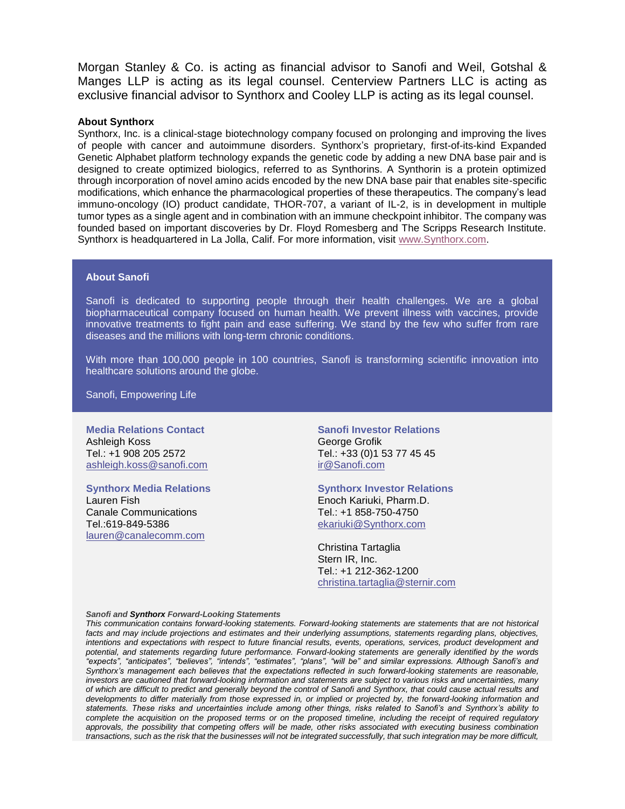Morgan Stanley & Co. is acting as financial advisor to Sanofi and Weil, Gotshal & Manges LLP is acting as its legal counsel. Centerview Partners LLC is acting as exclusive financial advisor to Synthorx and Cooley LLP is acting as its legal counsel.

## **About Synthorx**

Synthorx, Inc. is a clinical-stage biotechnology company focused on prolonging and improving the lives of people with cancer and autoimmune disorders. Synthorx's proprietary, first-of-its-kind Expanded Genetic Alphabet platform technology expands the genetic code by adding a new DNA base pair and is designed to create optimized biologics, referred to as Synthorins. A Synthorin is a protein optimized through incorporation of novel amino acids encoded by the new DNA base pair that enables site-specific modifications, which enhance the pharmacological properties of these therapeutics. The company's lead immuno-oncology (IO) product candidate, THOR-707, a variant of IL-2, is in development in multiple tumor types as a single agent and in combination with an immune checkpoint inhibitor. The company was founded based on important discoveries by Dr. Floyd Romesberg and The Scripps Research Institute. Synthorx is headquartered in La Jolla, Calif. For more information, visit [www.Synthorx.com.](https://urldefense.proofpoint.com/v2/url?u=http-3A__www.synthorx.com&d=DwMFAg&c=Dbf9zoswcQ-CRvvI7VX5j3HvibIuT3ZiarcKl5qtMPo&r=qKB5FRX99749kFKj7hGHDd63Srzqnct-cX06pNHdGs4&m=XvsK12gxyYPoYmZX3ltTCpyaSGvpAFlnU6yjp2-sBis&s=91s7x2f-Tq8sH_CZEGRwOGemegMpdJl4U5acWE5Re9A&e=)

## **About Sanofi**

Sanofi is dedicated to supporting people through their health challenges. We are a global biopharmaceutical company focused on human health. We prevent illness with vaccines, provide innovative treatments to fight pain and ease suffering. We stand by the few who suffer from rare diseases and the millions with long-term chronic conditions.

With more than 100,000 people in 100 countries, Sanofi is transforming scientific innovation into healthcare solutions around the globe.

Sanofi, Empowering Life

**Media Relations Contact** Ashleigh Koss Tel.: +1 908 205 2572 [ashleigh.koss@sanofi.com](mailto:ashleigh.koss@sanofi.com)

**Synthorx Media Relations** Lauren Fish Canale Communications Tel.:619-849-5386 [lauren@canalecomm.com](mailto:lauren@canalecomm.com)

**Sanofi Investor Relations** George Grofik Tel.: +33 (0)1 53 77 45 45 [ir@Sanofi.com](mailto:ir@saturn.com)

**Synthorx Investor Relations**

Enoch Kariuki, Pharm.D. Tel.: +1 858-750-4750 [ekariuki@Synthorx.com](mailto:ekariuki@Synthorx.com)

Christina Tartaglia Stern IR, Inc. Tel.: +1 212-362-1200 [christina.tartaglia@sternir.com](mailto:christina.tartaglia@sternir.com)

#### *Sanofi and Synthorx Forward-Looking Statements*

*This communication contains forward-looking statements. Forward-looking statements are statements that are not historical*  facts and may include projections and estimates and their underlying assumptions, statements regarding plans, objectives, *intentions and expectations with respect to future financial results, events, operations, services, product development and potential, and statements regarding future performance. Forward-looking statements are generally identified by the words "expects", "anticipates", "believes", "intends", "estimates", "plans", "will be" and similar expressions. Although Sanofi's and Synthorx's management each believes that the expectations reflected in such forward-looking statements are reasonable, investors are cautioned that forward-looking information and statements are subject to various risks and uncertainties, many of which are difficult to predict and generally beyond the control of Sanofi and Synthorx, that could cause actual results and developments to differ materially from those expressed in, or implied or projected by, the forward-looking information and statements. These risks and uncertainties include among other things, risks related to Sanofi's and Synthorx's ability to*  complete the acquisition on the proposed terms or on the proposed timeline, including the receipt of required regulatory *approvals, the possibility that competing offers will be made, other risks associated with executing business combination transactions, such as the risk that the businesses will not be integrated successfully, that such integration may be more difficult,*